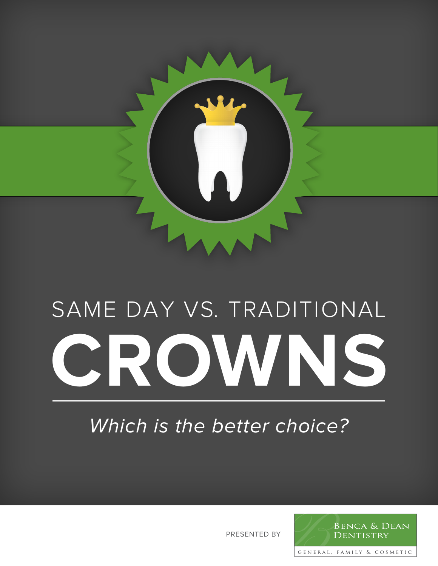

# SAME DAY VS. TRADITIONAL **CROWNS**

# Which is the better choice?

PRESENTED BY

**BENCA & DEAN** DENTISTRY

GENERAL, FAMILY & COSMETIC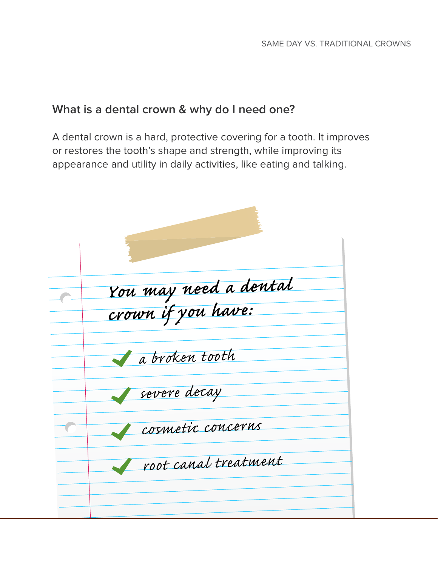### **What is a dental crown & why do I need one?**

A dental crown is a hard, protective covering for a tooth. It improves or restores the tooth's shape and strength, while improving its appearance and utility in daily activities, like eating and talking.

| You may need a dental<br>crown if you have: |
|---------------------------------------------|
| a broken tooth                              |
| severe decay                                |
| cosmetic concerns                           |
| root canal treatment                        |
|                                             |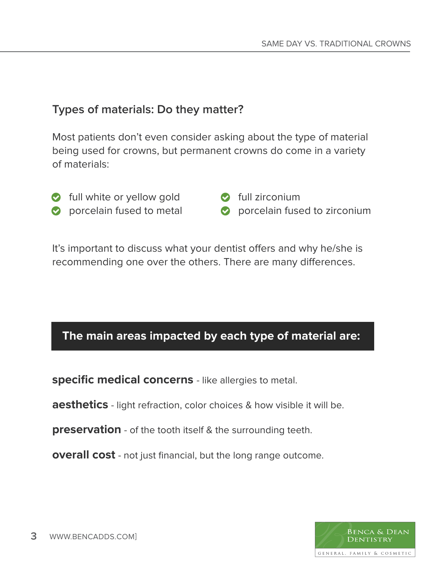#### **Types of materials: Do they matter?**

Most patients don't even consider asking about the type of material being used for crowns, but permanent crowns do come in a variety of materials:

- **o** full white or yellow gold
- **porcelain fused to metal**

 $\bullet$  full zirconium

**O** porcelain fused to zirconium

It's important to discuss what your dentist offers and why he/she is recommending one over the others. There are many differences.

#### **The main areas impacted by each type of material are:**

**specific medical concerns** - like allergies to metal.

**aesthetics** - light refraction, color choices & how visible it will be.

**preservation** - of the tooth itself & the surrounding teeth.

**overall cost** - not just financial, but the long range outcome.

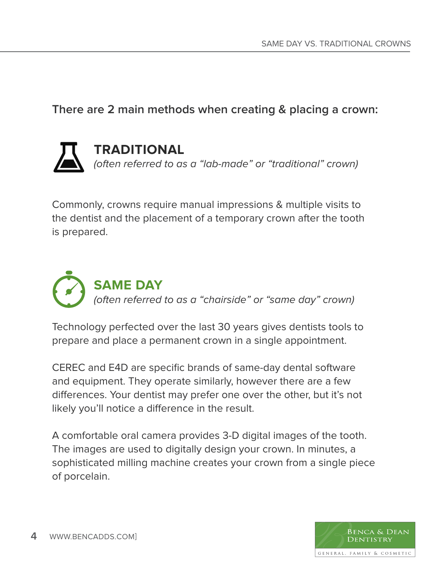#### **There are 2 main methods when creating & placing a crown:**

# **TRADITIONAL** (often referred to as a "lab-made" or "traditional" crown)

Commonly, crowns require manual impressions & multiple visits to the dentist and the placement of a temporary crown after the tooth is prepared.



Technology perfected over the last 30 years gives dentists tools to prepare and place a permanent crown in a single appointment.

CEREC and E4D are specific brands of same-day dental software and equipment. They operate similarly, however there are a few differences. Your dentist may prefer one over the other, but it's not likely you'll notice a difference in the result.

A comfortable oral camera provides 3-D digital images of the tooth. The images are used to digitally design your crown. In minutes, a sophisticated milling machine creates your crown from a single piece of porcelain.

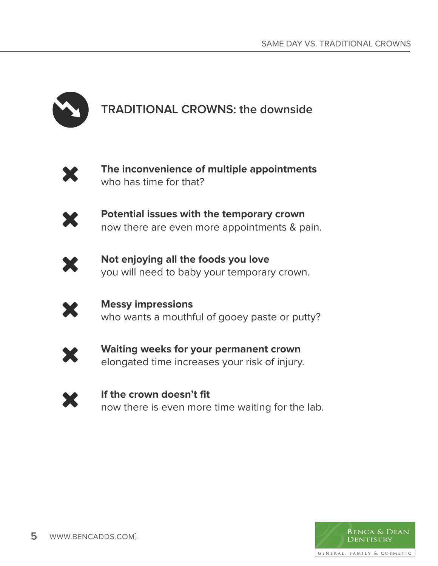

# **TRADITIONAL CROWNS: the downside**



**The inconvenience of multiple appointments** who has time for that?



**Potential issues with the temporary crown** now there are even more appointments & pain.



**Not enjoying all the foods you love** you will need to baby your temporary crown.



**Messy impressions** who wants a mouthful of gooey paste or putty?



**Waiting weeks for your permanent crown** elongated time increases your risk of injury.



**If the crown doesn't fit** now there is even more time waiting for the lab.

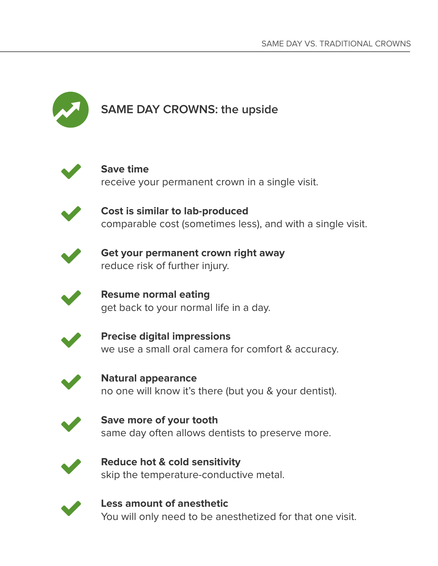

# **SAME DAY CROWNS: the upside**



## **Save time**

receive your permanent crown in a single visit.



**Cost is similar to lab-produced** comparable cost (sometimes less), and with a single visit.



**Get your permanent crown right away** reduce risk of further injury.

**Resume normal eating** get back to your normal life in a day.



**Precise digital impressions** we use a small oral camera for comfort & accuracy.



**Natural appearance** no one will know it's there (but you & your dentist).



**Save more of your tooth** same day often allows dentists to preserve more.



**Reduce hot & cold sensitivity** skip the temperature-conductive metal.



**Less amount of anesthetic** You will only need to be anesthetized for that one visit.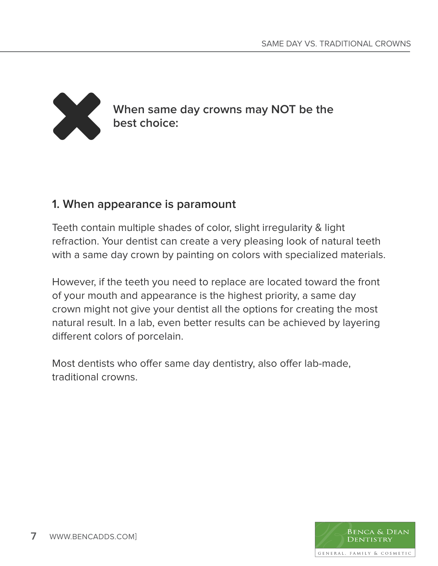

When same day crowns may NOT be the best choice: **best choice:**

#### **1. When appearance is paramount**

Teeth contain multiple shades of color, slight irregularity & light refraction. Your dentist can create a very pleasing look of natural teeth with a same day crown by painting on colors with specialized materials.

However, if the teeth you need to replace are located toward the front of your mouth and appearance is the highest priority, a same day crown might not give your dentist all the options for creating the most natural result. In a lab, even better results can be achieved by layering different colors of porcelain.

Most dentists who offer same day dentistry, also offer lab-made, traditional crowns.